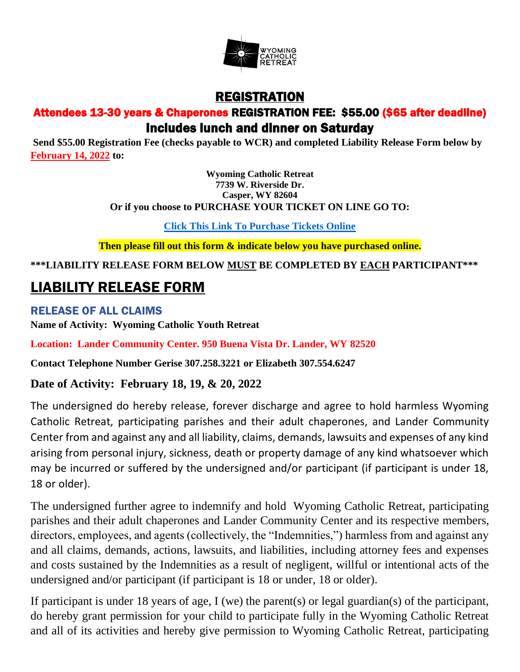

## REGISTRATION Attendees 13-30 years & Chaperones REGISTRATION FEE: \$55.00 (\$65 after deadline) Includes lunch and dinner on Saturday

**Send \$55.00 Registration Fee (checks payable to WCR) and completed Liability Release Form below by February 14, 2022 to:**

> **Wyoming Catholic Retreat 7739 W. Riverside Dr. Casper, WY 82604 Or if you choose to PURCHASE YOUR TICKET ON LINE GO TO:**

> > **[Click This Link To Purchase Tickets Online](https://www.eventbrite.com/e/wyoming-catholic-retreat-tickets-87779479787)**

**Then please fill out this form & indicate below you have purchased online.**

**\*\*\*LIABILITY RELEASE FORM BELOW MUST BE COMPLETED BY EACH PARTICIPANT\*\*\***

## LIABILITY RELEASE FORM

RELEASE OF ALL CLAIMS **Name of Activity: Wyoming Catholic Youth Retreat**

**Location: Lander Community Center. 950 Buena Vista Dr. Lander, WY 82520**

**Contact Telephone Number Gerise 307.258.3221 or Elizabeth 307.554.6247**

## **Date of Activity: February 18, 19, & 20, 2022**

The undersigned do hereby release, forever discharge and agree to hold harmless Wyoming Catholic Retreat, participating parishes and their adult chaperones, and Lander Community Center from and against any and all liability, claims, demands, lawsuits and expenses of any kind arising from personal injury, sickness, death or property damage of any kind whatsoever which may be incurred or suffered by the undersigned and/or participant (if participant is under 18, 18 or older).

The undersigned further agree to indemnify and hold Wyoming Catholic Retreat, participating parishes and their adult chaperones and Lander Community Center and its respective members, directors, employees, and agents (collectively, the "Indemnities,") harmless from and against any and all claims, demands, actions, lawsuits, and liabilities, including attorney fees and expenses and costs sustained by the Indemnities as a result of negligent, willful or intentional acts of the undersigned and/or participant (if participant is 18 or under, 18 or older).

If participant is under 18 years of age, I (we) the parent(s) or legal guardian(s) of the participant, do hereby grant permission for your child to participate fully in the Wyoming Catholic Retreat and all of its activities and hereby give permission to Wyoming Catholic Retreat, participating